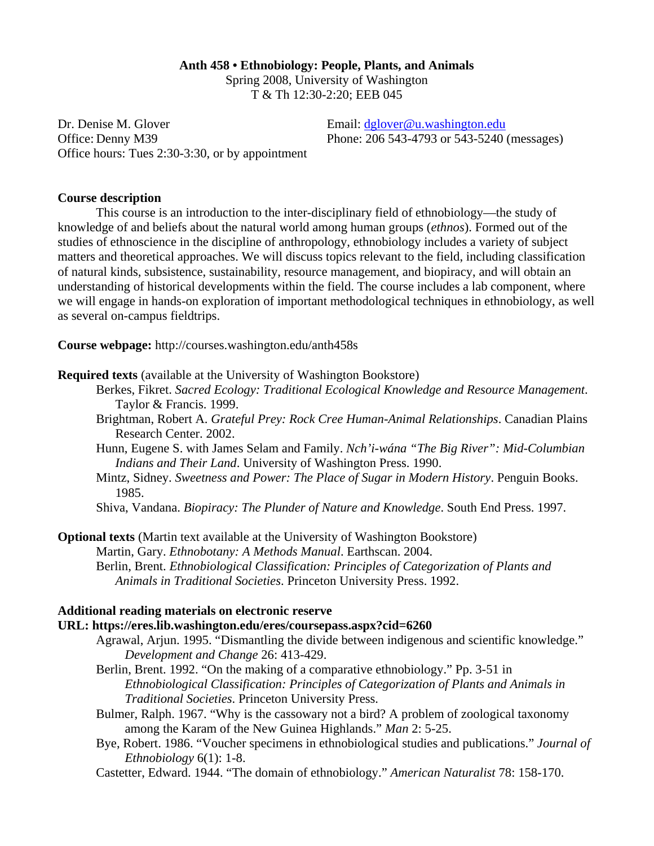### **Anth 458 • Ethnobiology: People, Plants, and Animals**

Spring 2008, University of Washington T & Th 12:30-2:20; EEB 045

Dr. Denise M. Glover **Email:** dglover @u.washington.edu Office: Denny M39 Phone: 206 543-4793 or 543-5240 (messages) Office hours: Tues 2:30-3:30, or by appointment

# **Course description**

This course is an introduction to the inter-disciplinary field of ethnobiology—the study of knowledge of and beliefs about the natural world among human groups (*ethnos*). Formed out of the studies of ethnoscience in the discipline of anthropology, ethnobiology includes a variety of subject matters and theoretical approaches. We will discuss topics relevant to the field, including classification of natural kinds, subsistence, sustainability, resource management, and biopiracy, and will obtain an understanding of historical developments within the field. The course includes a lab component, where we will engage in hands-on exploration of important methodological techniques in ethnobiology, as well as several on-campus fieldtrips.

**Course webpage:** http://courses.washington.edu/anth458s

- **Required texts** (available at the University of Washington Bookstore)
	- Berkes, Fikret. *Sacred Ecology: Traditional Ecological Knowledge and Resource Management*. Taylor & Francis. 1999.
	- Brightman, Robert A. *Grateful Prey: Rock Cree Human-Animal Relationships*. Canadian Plains Research Center. 2002.
	- Hunn, Eugene S. with James Selam and Family. *Nch'i-wána "The Big River": Mid-Columbian Indians and Their Land*. University of Washington Press. 1990.
	- Mintz, Sidney. *Sweetness and Power: The Place of Sugar in Modern History*. Penguin Books. 1985.
	- Shiva, Vandana. *Biopiracy: The Plunder of Nature and Knowledge*. South End Press. 1997.

**Optional texts** (Martin text available at the University of Washington Bookstore) Martin, Gary. *Ethnobotany: A Methods Manual*. Earthscan. 2004. Berlin, Brent. *Ethnobiological Classification: Principles of Categorization of Plants and Animals in Traditional Societies*. Princeton University Press. 1992.

# **Additional reading materials on electronic reserve**

## **URL: https://eres.lib.washington.edu/eres/coursepass.aspx?cid=6260**

- Agrawal, Arjun. 1995. "Dismantling the divide between indigenous and scientific knowledge." *Development and Change* 26: 413-429.
- Berlin, Brent. 1992. "On the making of a comparative ethnobiology." Pp. 3-51 in *Ethnobiological Classification: Principles of Categorization of Plants and Animals in Traditional Societies*. Princeton University Press.
- Bulmer, Ralph. 1967. "Why is the cassowary not a bird? A problem of zoological taxonomy among the Karam of the New Guinea Highlands." *Man* 2: 5-25.
- Bye, Robert. 1986. "Voucher specimens in ethnobiological studies and publications." *Journal of Ethnobiology* 6(1): 1-8.

Castetter, Edward. 1944. "The domain of ethnobiology." *American Naturalist* 78: 158-170.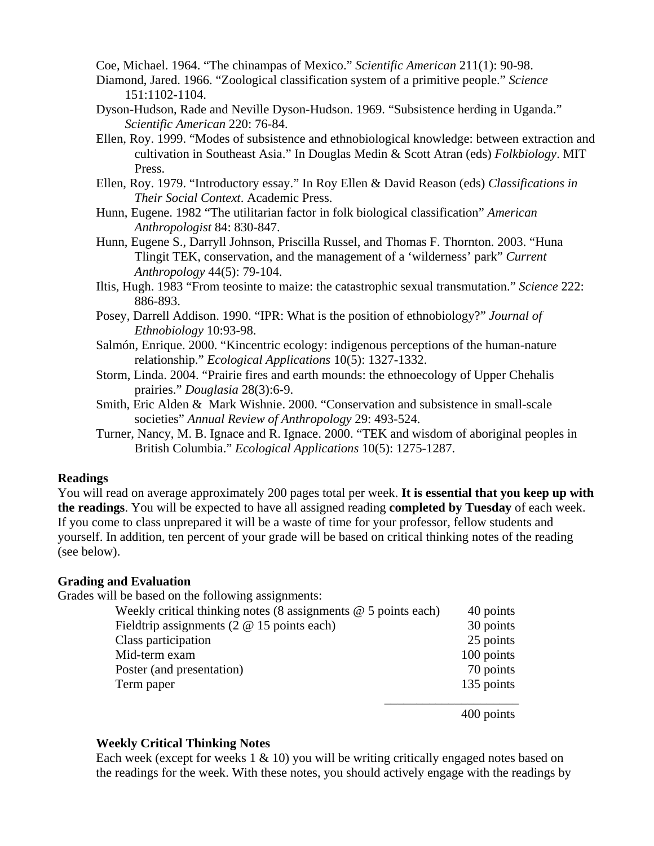Coe, Michael. 1964. "The chinampas of Mexico." *Scientific American* 211(1): 90-98.

- Diamond, Jared. 1966. "Zoological classification system of a primitive people." *Science* 151:1102-1104.
- Dyson-Hudson, Rade and Neville Dyson-Hudson. 1969. "Subsistence herding in Uganda." *Scientific American* 220: 76-84.
- Ellen, Roy. 1999. "Modes of subsistence and ethnobiological knowledge: between extraction and cultivation in Southeast Asia." In Douglas Medin & Scott Atran (eds) *Folkbiology*. MIT Press.
- Ellen, Roy. 1979. "Introductory essay." In Roy Ellen & David Reason (eds) *Classifications in Their Social Context*. Academic Press.
- Hunn, Eugene. 1982 "The utilitarian factor in folk biological classification" *American Anthropologist* 84: 830-847.
- Hunn, Eugene S., Darryll Johnson, Priscilla Russel, and Thomas F. Thornton. 2003. "Huna Tlingit TEK, conservation, and the management of a 'wilderness' park" *Current Anthropology* 44(5): 79-104.
- Iltis, Hugh. 1983 "From teosinte to maize: the catastrophic sexual transmutation." *Science* 222: 886-893.
- Posey, Darrell Addison. 1990. "IPR: What is the position of ethnobiology?" *Journal of Ethnobiology* 10:93-98.
- Salmón, Enrique. 2000. "Kincentric ecology: indigenous perceptions of the human-nature relationship." *Ecological Applications* 10(5): 1327-1332.
- Storm, Linda. 2004. "Prairie fires and earth mounds: the ethnoecology of Upper Chehalis prairies." *Douglasia* 28(3):6-9.
- Smith, Eric Alden & Mark Wishnie. 2000. "Conservation and subsistence in small-scale societies" *Annual Review of Anthropology* 29: 493-524.
- Turner, Nancy, M. B. Ignace and R. Ignace. 2000. "TEK and wisdom of aboriginal peoples in British Columbia." *Ecological Applications* 10(5): 1275-1287.

### **Readings**

You will read on average approximately 200 pages total per week. **It is essential that you keep up with the readings**. You will be expected to have all assigned reading **completed by Tuesday** of each week. If you come to class unprepared it will be a waste of time for your professor, fellow students and yourself. In addition, ten percent of your grade will be based on critical thinking notes of the reading (see below).

### **Grading and Evaluation**

Grades will be based on the following assignments:

| Weekly critical thinking notes $(8$ assignments $@$ 5 points each) | 40 points  |
|--------------------------------------------------------------------|------------|
| Fieldtrip assignments $(2 \t@ 15 \tpoints each)$                   | 30 points  |
| Class participation                                                | 25 points  |
| Mid-term exam                                                      | 100 points |
| Poster (and presentation)                                          | 70 points  |
| Term paper                                                         | 135 points |
|                                                                    |            |

400 points

### **Weekly Critical Thinking Notes**

Each week (except for weeks  $1 \& 10$ ) you will be writing critically engaged notes based on the readings for the week. With these notes, you should actively engage with the readings by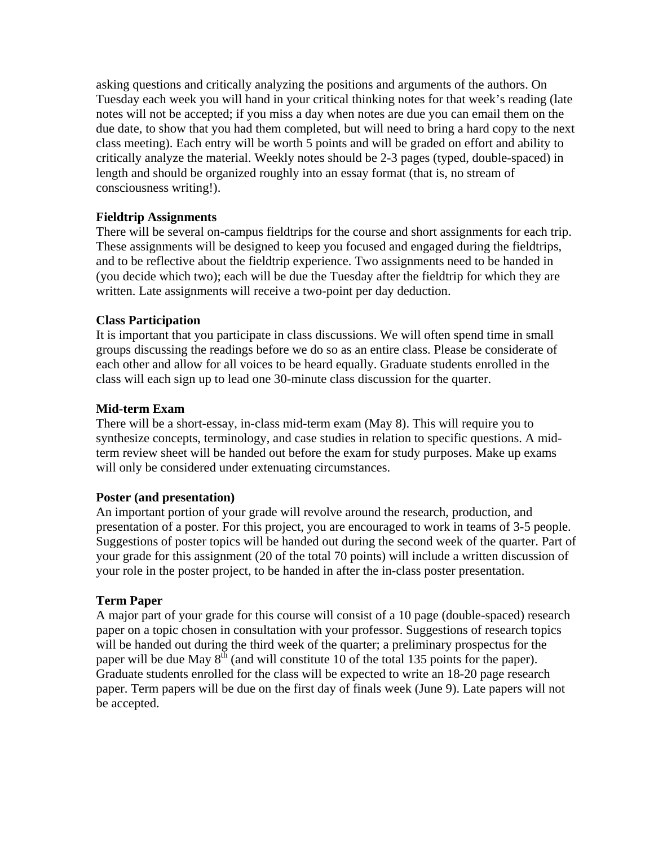asking questions and critically analyzing the positions and arguments of the authors. On Tuesday each week you will hand in your critical thinking notes for that week's reading (late notes will not be accepted; if you miss a day when notes are due you can email them on the due date, to show that you had them completed, but will need to bring a hard copy to the next class meeting). Each entry will be worth 5 points and will be graded on effort and ability to critically analyze the material. Weekly notes should be 2-3 pages (typed, double-spaced) in length and should be organized roughly into an essay format (that is, no stream of consciousness writing!).

# **Fieldtrip Assignments**

There will be several on-campus fieldtrips for the course and short assignments for each trip. These assignments will be designed to keep you focused and engaged during the fieldtrips, and to be reflective about the fieldtrip experience. Two assignments need to be handed in (you decide which two); each will be due the Tuesday after the fieldtrip for which they are written. Late assignments will receive a two-point per day deduction.

# **Class Participation**

 It is important that you participate in class discussions. We will often spend time in small groups discussing the readings before we do so as an entire class. Please be considerate of each other and allow for all voices to be heard equally. Graduate students enrolled in the class will each sign up to lead one 30-minute class discussion for the quarter.

# **Mid-term Exam**

 There will be a short-essay, in-class mid-term exam (May 8). This will require you to synthesize concepts, terminology, and case studies in relation to specific questions. A midterm review sheet will be handed out before the exam for study purposes. Make up exams will only be considered under extenuating circumstances.

# **Poster (and presentation)**

 An important portion of your grade will revolve around the research, production, and presentation of a poster. For this project, you are encouraged to work in teams of 3-5 people. Suggestions of poster topics will be handed out during the second week of the quarter. Part of your grade for this assignment (20 of the total 70 points) will include a written discussion of your role in the poster project, to be handed in after the in-class poster presentation.

# **Term Paper**

A major part of your grade for this course will consist of a 10 page (double-spaced) research paper on a topic chosen in consultation with your professor. Suggestions of research topics will be handed out during the third week of the quarter; a preliminary prospectus for the paper will be due May  $8<sup>th</sup>$  (and will constitute 10 of the total 135 points for the paper). Graduate students enrolled for the class will be expected to write an 18-20 page research paper. Term papers will be due on the first day of finals week (June 9). Late papers will not be accepted.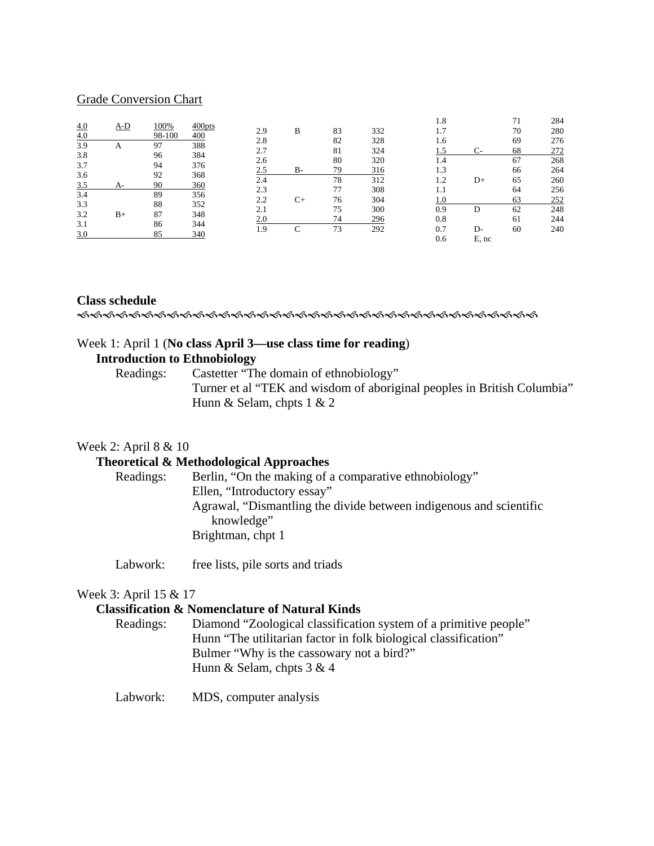### Grade Conversion Chart

|     |      |        |        |     |           |    |     | 1.8 |       | 71 | 284 |
|-----|------|--------|--------|-----|-----------|----|-----|-----|-------|----|-----|
| 4.0 | A-D  | 100%   | 400pts | 2.9 | B         | 83 | 332 | 1.7 |       | 70 | 280 |
| 4.0 |      | 98-100 | 400    | 2.8 |           | 82 | 328 | 1.6 |       | 69 | 276 |
| 3.9 | А    | 97     | 388    | 2.7 |           | 81 | 324 |     | $C-$  | 68 | 272 |
| 3.8 |      | 96     | 384    | 2.6 |           | 80 | 320 | 1.4 |       | 67 | 268 |
| 3.7 |      | 94     | 376    | 2.5 | <b>B-</b> | 79 | 316 | 1.3 |       | 66 | 264 |
| 3.6 |      | 92     | 368    | 2.4 |           | 78 | 312 | 1.2 | D+    | 65 | 260 |
| 3.5 | A-   | 90     | 360    | 2.3 |           | 77 | 308 | 1.1 |       | 64 | 256 |
| 3.4 |      | 89     | 356    | 2.2 | C+        | 76 | 304 | 1.0 |       | 63 | 252 |
| 3.3 |      | 88     | 352    | 2.1 |           | 75 | 300 | 0.9 | D     | 62 | 248 |
| 3.2 | $B+$ | 87     | 348    | 2.0 |           | 74 | 296 | 0.8 |       | 61 | 244 |
| 3.1 |      | 86     | 344    | 1.9 | C         | 73 | 292 | 0.7 | D-    | 60 | 240 |
| 3.0 |      | 85     | 340    |     |           |    |     | 0.6 | E, nc |    |     |

# **Class schedule**

IIIIIIIIIIIIIIIIIIIIIIIIIIIIIIIIIIII

### Week 1: April 1 (**No class April 3—use class time for reading**)

# **Introduction to Ethnobiology**

 Readings: Castetter "The domain of ethnobiology" Turner et al "TEK and wisdom of aboriginal peoples in British Columbia" Hunn & Selam, chpts 1 & 2

### Week 2: April 8 & 10

# **Theoretical & Methodological Approaches**

| Berlin, "On the making of a comparative ethnobiology"              |
|--------------------------------------------------------------------|
| Ellen, "Introductory essay"                                        |
| Agrawal, "Dismantling the divide between indigenous and scientific |
| knowledge"                                                         |
| Brightman, chpt 1                                                  |
|                                                                    |

Labwork: free lists, pile sorts and triads

# Week 3: April 15 & 17

# **Classification & Nomenclature of Natural Kinds**

| Diamond "Zoological classification system of a primitive people" |
|------------------------------------------------------------------|
| Hunn "The utilitarian factor in folk biological classification"  |
| Bulmer "Why is the cassowary not a bird?"                        |
| Hunn & Selam, chpts $3 & 4$                                      |
|                                                                  |

Labwork: MDS, computer analysis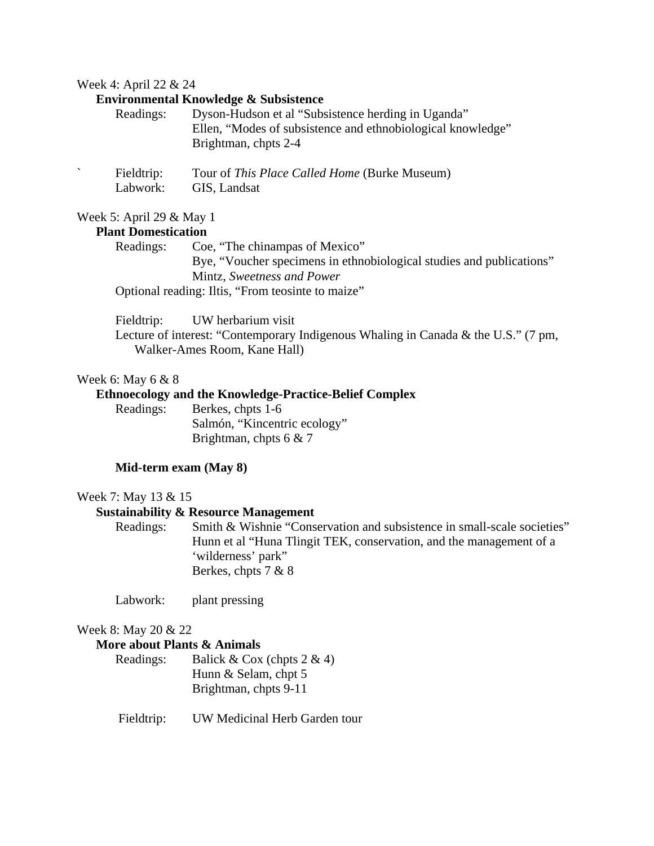#### Week 4: April 22 & 24

### **Environmental Knowledge & Subsistence**

| Readings: | Dyson-Hudson et al "Subsistence herding in Uganda"          |
|-----------|-------------------------------------------------------------|
|           | Ellen, "Modes of subsistence and ethnobiological knowledge" |
|           | Brightman, chpts 2-4                                        |
|           |                                                             |

| Fieldtrip: | Tour of This Place Called Home (Burke Museum) |
|------------|-----------------------------------------------|
| Labwork:   | GIS, Landsat                                  |

### Week 5: April 29 & May 1

# **Plant Domestication**

Readings: Coe, "The chinampas of Mexico" Bye, "Voucher specimens in ethnobiological studies and publications" Mintz, *Sweetness and Power* Optional reading: Iltis, "From teosinte to maize"

Fieldtrip: UW herbarium visit

Lecture of interest: "Contemporary Indigenous Whaling in Canada & the U.S." (7 pm, Walker-Ames Room, Kane Hall)

### Week 6: May 6 & 8

## **Ethnoecology and the Knowledge-Practice-Belief Complex**

| Readings: | Berkes, chpts 1-6            |
|-----------|------------------------------|
|           | Salmón, "Kincentric ecology" |
|           | Brightman, chpts 6 $& 7$     |

### **Mid-term exam (May 8)**

#### Week 7: May 13 & 15

# **Sustainability & Resource Management**

 Readings: Smith & Wishnie "Conservation and subsistence in small-scale societies" Hunn et al "Huna Tlingit TEK, conservation, and the management of a 'wilderness' park" Berkes, chpts 7 & 8

Labwork: plant pressing

#### Week 8: May 20 & 22

#### **More about Plants & Animals**

| Readings: | Balick & Cox (chpts $2 \& 4$ ) |
|-----------|--------------------------------|
|           | Hunn & Selam, chpt $5$         |
|           | Brightman, chpts 9-11          |

Fieldtrip: UW Medicinal Herb Garden tour